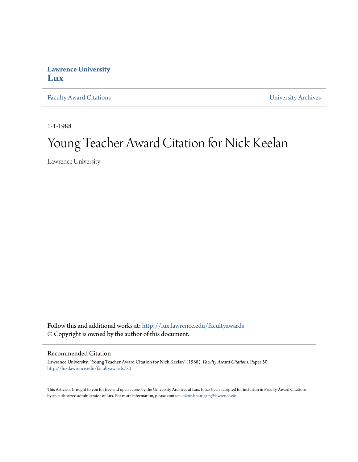## **Lawrence University [Lux](http://lux.lawrence.edu?utm_source=lux.lawrence.edu%2Ffacultyawards%2F50&utm_medium=PDF&utm_campaign=PDFCoverPages)**

[Faculty Award Citations](http://lux.lawrence.edu/facultyawards?utm_source=lux.lawrence.edu%2Ffacultyawards%2F50&utm_medium=PDF&utm_campaign=PDFCoverPages) **Example 2018** [University Archives](http://lux.lawrence.edu/archives?utm_source=lux.lawrence.edu%2Ffacultyawards%2F50&utm_medium=PDF&utm_campaign=PDFCoverPages)

1-1-1988

# Young Teacher Award Citation for Nick Keelan

Lawrence University

Follow this and additional works at: [http://lux.lawrence.edu/facultyawards](http://lux.lawrence.edu/facultyawards?utm_source=lux.lawrence.edu%2Ffacultyawards%2F50&utm_medium=PDF&utm_campaign=PDFCoverPages) © Copyright is owned by the author of this document.

#### Recommended Citation

Lawrence University, "Young Teacher Award Citation for Nick Keelan" (1988). *Faculty Award Citations.* Paper 50. [http://lux.lawrence.edu/facultyawards/50](http://lux.lawrence.edu/facultyawards/50?utm_source=lux.lawrence.edu%2Ffacultyawards%2F50&utm_medium=PDF&utm_campaign=PDFCoverPages)

This Article is brought to you for free and open access by the University Archives at Lux. It has been accepted for inclusion in Faculty Award Citations by an authorized administrator of Lux. For more information, please contact [colette.brautigam@lawrence.edu](mailto:colette.brautigam@lawrence.edu).